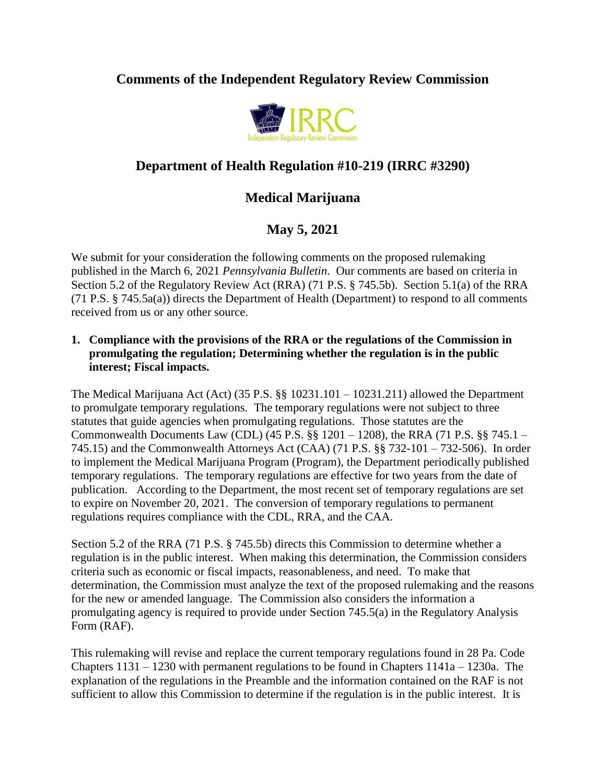# **Comments of the Independent Regulatory Review Commission**



# **Department of Health Regulation #10-219 (IRRC #3290)**

# **Medical Marijuana**

# **May 5, 2021**

We submit for your consideration the following comments on the proposed rulemaking published in the March 6, 2021 *Pennsylvania Bulletin*. Our comments are based on criteria in Section 5.2 of the Regulatory Review Act (RRA) (71 P.S. § 745.5b). Section 5.1(a) of the RRA (71 P.S. § 745.5a(a)) directs the Department of Health (Department) to respond to all comments received from us or any other source.

### **1. Compliance with the provisions of the RRA or the regulations of the Commission in promulgating the regulation; Determining whether the regulation is in the public interest; Fiscal impacts.**

The Medical Marijuana Act (Act) (35 P.S. §§ 10231.101 – 10231.211) allowed the Department to promulgate temporary regulations. The temporary regulations were not subject to three statutes that guide agencies when promulgating regulations. Those statutes are the Commonwealth Documents Law (CDL) (45 P.S. §§ 1201 – 1208), the RRA (71 P.S. §§ 745.1 – 745.15) and the Commonwealth Attorneys Act (CAA) (71 P.S. §§ 732-101 – 732-506). In order to implement the Medical Marijuana Program (Program), the Department periodically published temporary regulations. The temporary regulations are effective for two years from the date of publication. According to the Department, the most recent set of temporary regulations are set to expire on November 20, 2021. The conversion of temporary regulations to permanent regulations requires compliance with the CDL, RRA, and the CAA.

Section 5.2 of the RRA (71 P.S. § 745.5b) directs this Commission to determine whether a regulation is in the public interest. When making this determination, the Commission considers criteria such as economic or fiscal impacts, reasonableness, and need. To make that determination, the Commission must analyze the text of the proposed rulemaking and the reasons for the new or amended language. The Commission also considers the information a promulgating agency is required to provide under Section 745.5(a) in the Regulatory Analysis Form (RAF).

This rulemaking will revise and replace the current temporary regulations found in 28 Pa. Code Chapters 1131 – 1230 with permanent regulations to be found in Chapters 1141a – 1230a. The explanation of the regulations in the Preamble and the information contained on the RAF is not sufficient to allow this Commission to determine if the regulation is in the public interest. It is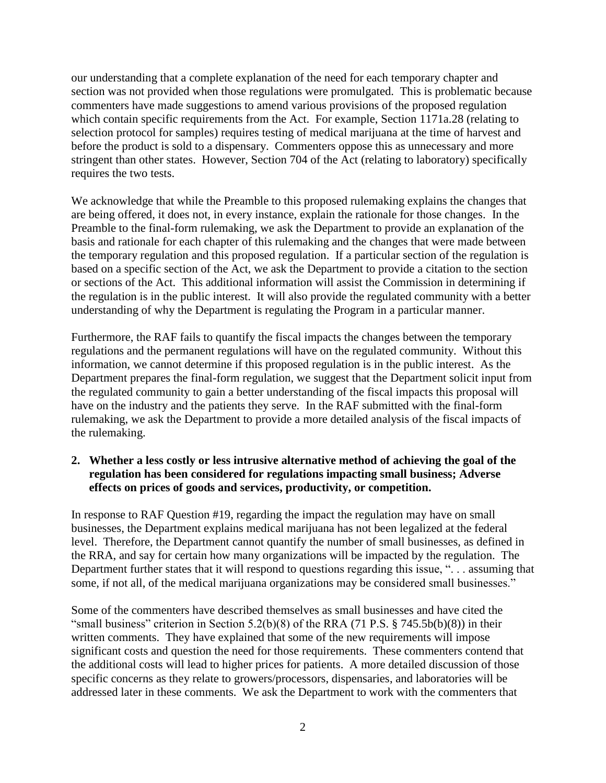our understanding that a complete explanation of the need for each temporary chapter and section was not provided when those regulations were promulgated. This is problematic because commenters have made suggestions to amend various provisions of the proposed regulation which contain specific requirements from the Act. For example, Section 1171a.28 (relating to selection protocol for samples) requires testing of medical marijuana at the time of harvest and before the product is sold to a dispensary. Commenters oppose this as unnecessary and more stringent than other states. However, Section 704 of the Act (relating to laboratory) specifically requires the two tests.

We acknowledge that while the Preamble to this proposed rulemaking explains the changes that are being offered, it does not, in every instance, explain the rationale for those changes. In the Preamble to the final-form rulemaking, we ask the Department to provide an explanation of the basis and rationale for each chapter of this rulemaking and the changes that were made between the temporary regulation and this proposed regulation. If a particular section of the regulation is based on a specific section of the Act, we ask the Department to provide a citation to the section or sections of the Act. This additional information will assist the Commission in determining if the regulation is in the public interest. It will also provide the regulated community with a better understanding of why the Department is regulating the Program in a particular manner.

Furthermore, the RAF fails to quantify the fiscal impacts the changes between the temporary regulations and the permanent regulations will have on the regulated community. Without this information, we cannot determine if this proposed regulation is in the public interest. As the Department prepares the final-form regulation, we suggest that the Department solicit input from the regulated community to gain a better understanding of the fiscal impacts this proposal will have on the industry and the patients they serve. In the RAF submitted with the final-form rulemaking, we ask the Department to provide a more detailed analysis of the fiscal impacts of the rulemaking.

## **2. Whether a less costly or less intrusive alternative method of achieving the goal of the regulation has been considered for regulations impacting small business; Adverse effects on prices of goods and services, productivity, or competition.**

In response to RAF Question #19, regarding the impact the regulation may have on small businesses, the Department explains medical marijuana has not been legalized at the federal level. Therefore, the Department cannot quantify the number of small businesses, as defined in the RRA, and say for certain how many organizations will be impacted by the regulation. The Department further states that it will respond to questions regarding this issue, ". . . assuming that some, if not all, of the medical marijuana organizations may be considered small businesses."

Some of the commenters have described themselves as small businesses and have cited the "small business" criterion in Section 5.2(b)(8) of the RRA (71 P.S. § 745.5b(b)(8)) in their written comments. They have explained that some of the new requirements will impose significant costs and question the need for those requirements. These commenters contend that the additional costs will lead to higher prices for patients. A more detailed discussion of those specific concerns as they relate to growers/processors, dispensaries, and laboratories will be addressed later in these comments. We ask the Department to work with the commenters that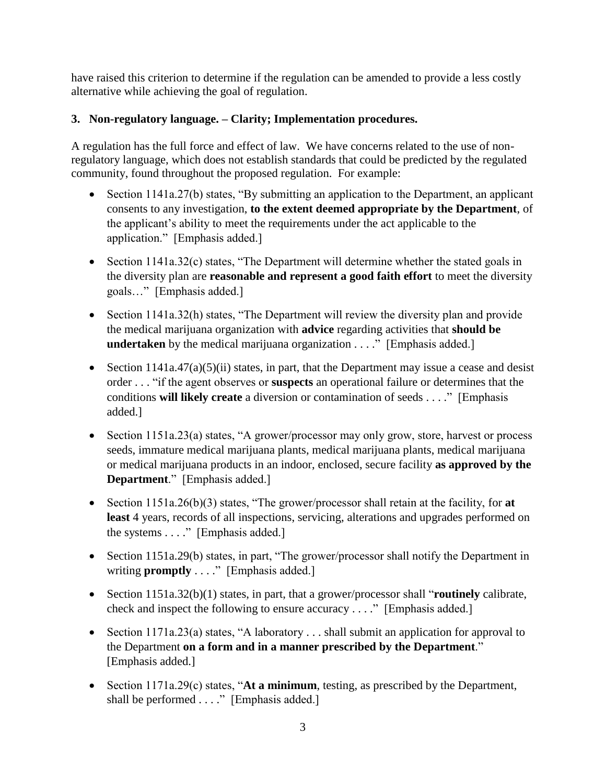have raised this criterion to determine if the regulation can be amended to provide a less costly alternative while achieving the goal of regulation.

## **3. Non-regulatory language. – Clarity; Implementation procedures.**

A regulation has the full force and effect of law. We have concerns related to the use of nonregulatory language, which does not establish standards that could be predicted by the regulated community, found throughout the proposed regulation. For example:

- Section 1141a.27(b) states, "By submitting an application to the Department, an applicant consents to any investigation, **to the extent deemed appropriate by the Department**, of the applicant's ability to meet the requirements under the act applicable to the application." [Emphasis added.]
- Section  $1141a.32(c)$  states, "The Department will determine whether the stated goals in the diversity plan are **reasonable and represent a good faith effort** to meet the diversity goals…" [Emphasis added.]
- Section 1141a.32(h) states, "The Department will review the diversity plan and provide the medical marijuana organization with **advice** regarding activities that **should be undertaken** by the medical marijuana organization . . . ." [Emphasis added.]
- Section  $1141a.47(a)(5)(ii)$  states, in part, that the Department may issue a cease and desist order . . . "if the agent observes or **suspects** an operational failure or determines that the conditions **will likely create** a diversion or contamination of seeds . . . ." [Emphasis added.]
- Section 1151a.23(a) states, "A grower/processor may only grow, store, harvest or process seeds, immature medical marijuana plants, medical marijuana plants, medical marijuana or medical marijuana products in an indoor, enclosed, secure facility **as approved by the Department**." [Emphasis added.]
- Section 1151a.26(b)(3) states, "The grower/processor shall retain at the facility, for **at least** 4 years, records of all inspections, servicing, alterations and upgrades performed on the systems . . . ." [Emphasis added.]
- Section 1151a.29(b) states, in part, "The grower/processor shall notify the Department in writing **promptly** . . . ." [Emphasis added.]
- Section 1151a.32(b)(1) states, in part, that a grower/processor shall "**routinely** calibrate, check and inspect the following to ensure accuracy . . . ." [Emphasis added.]
- Section 1171a.23(a) states, "A laboratory . . . shall submit an application for approval to the Department **on a form and in a manner prescribed by the Department**." [Emphasis added.]
- Section 1171a.29(c) states, "**At a minimum**, testing, as prescribed by the Department, shall be performed . . . ." [Emphasis added.]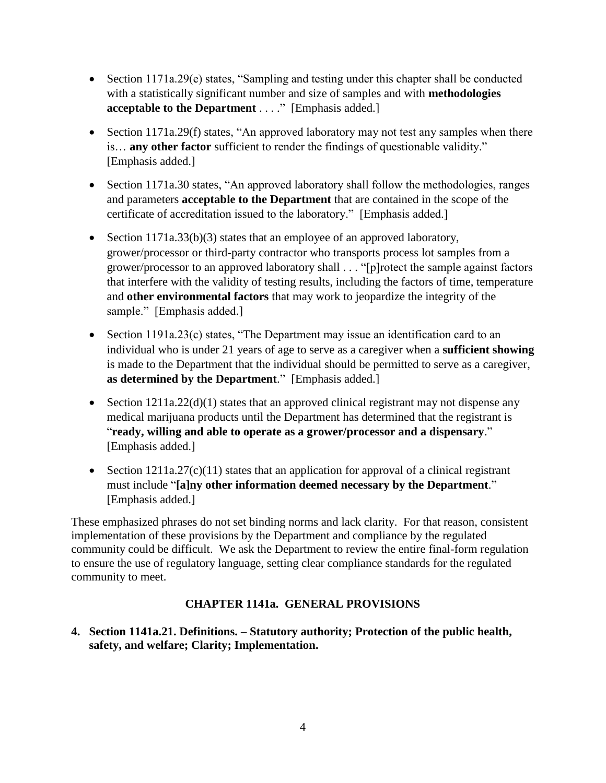- Section 1171a.29(e) states, "Sampling and testing under this chapter shall be conducted with a statistically significant number and size of samples and with **methodologies acceptable to the Department** . . . ." [Emphasis added.]
- Section 1171a.29(f) states, "An approved laboratory may not test any samples when there is… **any other factor** sufficient to render the findings of questionable validity." [Emphasis added.]
- Section 1171a.30 states, "An approved laboratory shall follow the methodologies, ranges and parameters **acceptable to the Department** that are contained in the scope of the certificate of accreditation issued to the laboratory." [Emphasis added.]
- Section  $1171a.33(b)(3)$  states that an employee of an approved laboratory, grower/processor or third-party contractor who transports process lot samples from a grower/processor to an approved laboratory shall . . . "[p]rotect the sample against factors that interfere with the validity of testing results, including the factors of time, temperature and **other environmental factors** that may work to jeopardize the integrity of the sample." [Emphasis added.]
- Section 1191a.23(c) states, "The Department may issue an identification card to an individual who is under 21 years of age to serve as a caregiver when a **sufficient showing** is made to the Department that the individual should be permitted to serve as a caregiver, **as determined by the Department**." [Emphasis added.]
- Section  $1211a.22(d)(1)$  states that an approved clinical registrant may not dispense any medical marijuana products until the Department has determined that the registrant is "**ready, willing and able to operate as a grower/processor and a dispensary**." [Emphasis added.]
- Section  $1211a.27(c)(11)$  states that an application for approval of a clinical registrant must include "**[a]ny other information deemed necessary by the Department**." [Emphasis added.]

These emphasized phrases do not set binding norms and lack clarity. For that reason, consistent implementation of these provisions by the Department and compliance by the regulated community could be difficult. We ask the Department to review the entire final-form regulation to ensure the use of regulatory language, setting clear compliance standards for the regulated community to meet.

## **CHAPTER 1141a. GENERAL PROVISIONS**

**4. Section 1141a.21. Definitions. – Statutory authority; Protection of the public health, safety, and welfare; Clarity; Implementation.**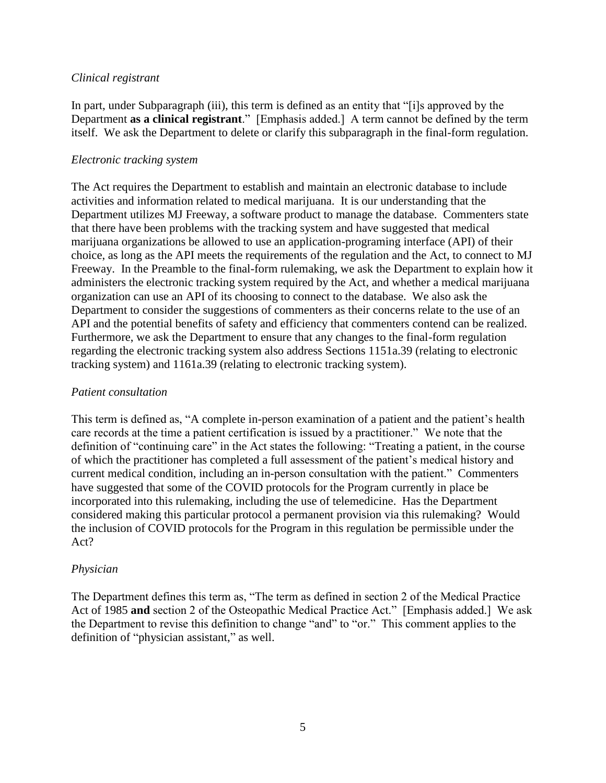#### *Clinical registrant*

In part, under Subparagraph (iii), this term is defined as an entity that "[i]s approved by the Department **as a clinical registrant**." [Emphasis added.] A term cannot be defined by the term itself. We ask the Department to delete or clarify this subparagraph in the final-form regulation.

#### *Electronic tracking system*

The Act requires the Department to establish and maintain an electronic database to include activities and information related to medical marijuana. It is our understanding that the Department utilizes MJ Freeway, a software product to manage the database. Commenters state that there have been problems with the tracking system and have suggested that medical marijuana organizations be allowed to use an application-programing interface (API) of their choice, as long as the API meets the requirements of the regulation and the Act, to connect to MJ Freeway. In the Preamble to the final-form rulemaking, we ask the Department to explain how it administers the electronic tracking system required by the Act, and whether a medical marijuana organization can use an API of its choosing to connect to the database. We also ask the Department to consider the suggestions of commenters as their concerns relate to the use of an API and the potential benefits of safety and efficiency that commenters contend can be realized. Furthermore, we ask the Department to ensure that any changes to the final-form regulation regarding the electronic tracking system also address Sections 1151a.39 (relating to electronic tracking system) and 1161a.39 (relating to electronic tracking system).

#### *Patient consultation*

This term is defined as, "A complete in-person examination of a patient and the patient's health care records at the time a patient certification is issued by a practitioner." We note that the definition of "continuing care" in the Act states the following: "Treating a patient, in the course of which the practitioner has completed a full assessment of the patient's medical history and current medical condition, including an in-person consultation with the patient." Commenters have suggested that some of the COVID protocols for the Program currently in place be incorporated into this rulemaking, including the use of telemedicine. Has the Department considered making this particular protocol a permanent provision via this rulemaking? Would the inclusion of COVID protocols for the Program in this regulation be permissible under the Act?

#### *Physician*

The Department defines this term as, "The term as defined in section 2 of the Medical Practice Act of 1985 **and** section 2 of the Osteopathic Medical Practice Act." [Emphasis added.] We ask the Department to revise this definition to change "and" to "or." This comment applies to the definition of "physician assistant," as well.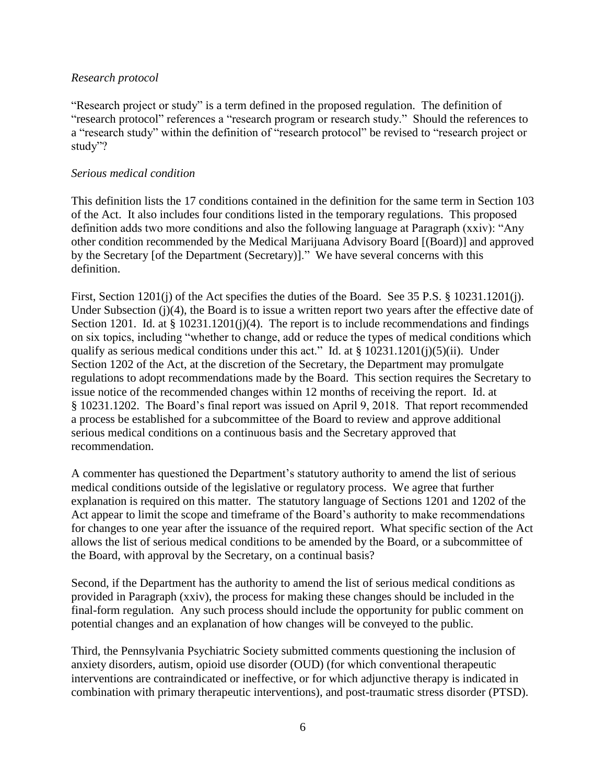#### *Research protocol*

"Research project or study" is a term defined in the proposed regulation. The definition of "research protocol" references a "research program or research study." Should the references to a "research study" within the definition of "research protocol" be revised to "research project or study"?

#### *Serious medical condition*

This definition lists the 17 conditions contained in the definition for the same term in Section 103 of the Act. It also includes four conditions listed in the temporary regulations. This proposed definition adds two more conditions and also the following language at Paragraph (xxiv): "Any other condition recommended by the Medical Marijuana Advisory Board [(Board)] and approved by the Secretary [of the Department (Secretary)]." We have several concerns with this definition.

First, Section 1201(j) of the Act specifies the duties of the Board. See 35 P.S. § 10231.1201(j). Under Subsection (j)(4), the Board is to issue a written report two years after the effective date of Section 1201. Id. at § 10231.1201(j)(4). The report is to include recommendations and findings on six topics, including "whether to change, add or reduce the types of medical conditions which qualify as serious medical conditions under this act." Id. at  $\S 10231.1201(j)(5)(ii)$ . Under Section 1202 of the Act, at the discretion of the Secretary, the Department may promulgate regulations to adopt recommendations made by the Board. This section requires the Secretary to issue notice of the recommended changes within 12 months of receiving the report. Id. at § 10231.1202. The Board's final report was issued on April 9, 2018. That report recommended a process be established for a subcommittee of the Board to review and approve additional serious medical conditions on a continuous basis and the Secretary approved that recommendation.

A commenter has questioned the Department's statutory authority to amend the list of serious medical conditions outside of the legislative or regulatory process. We agree that further explanation is required on this matter. The statutory language of Sections 1201 and 1202 of the Act appear to limit the scope and timeframe of the Board's authority to make recommendations for changes to one year after the issuance of the required report. What specific section of the Act allows the list of serious medical conditions to be amended by the Board, or a subcommittee of the Board, with approval by the Secretary, on a continual basis?

Second, if the Department has the authority to amend the list of serious medical conditions as provided in Paragraph (xxiv), the process for making these changes should be included in the final-form regulation. Any such process should include the opportunity for public comment on potential changes and an explanation of how changes will be conveyed to the public.

Third, the Pennsylvania Psychiatric Society submitted comments questioning the inclusion of anxiety disorders, autism, opioid use disorder (OUD) (for which conventional therapeutic interventions are contraindicated or ineffective, or for which adjunctive therapy is indicated in combination with primary therapeutic interventions), and post-traumatic stress disorder (PTSD).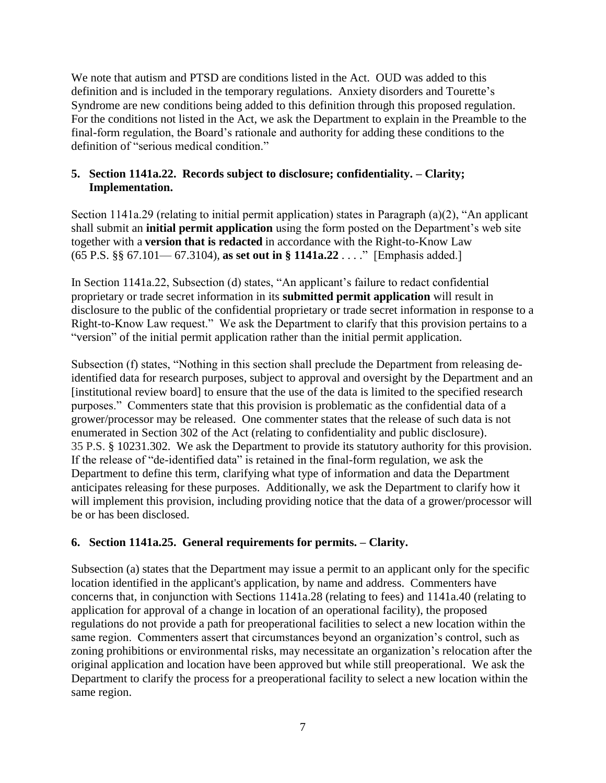We note that autism and PTSD are conditions listed in the Act. OUD was added to this definition and is included in the temporary regulations. Anxiety disorders and Tourette's Syndrome are new conditions being added to this definition through this proposed regulation. For the conditions not listed in the Act, we ask the Department to explain in the Preamble to the final-form regulation, the Board's rationale and authority for adding these conditions to the definition of "serious medical condition."

## **5. Section 1141a.22. Records subject to disclosure; confidentiality. – Clarity; Implementation.**

Section 1141a.29 (relating to initial permit application) states in Paragraph (a)(2), "An applicant shall submit an **initial permit application** using the form posted on the Department's web site together with a **version that is redacted** in accordance with the Right-to-Know Law (65 P.S. §§ 67.101— 67.3104), **as set out in § 1141a.22** . . . ." [Emphasis added.]

In Section 1141a.22, Subsection (d) states, "An applicant's failure to redact confidential proprietary or trade secret information in its **submitted permit application** will result in disclosure to the public of the confidential proprietary or trade secret information in response to a Right-to-Know Law request." We ask the Department to clarify that this provision pertains to a "version" of the initial permit application rather than the initial permit application.

Subsection (f) states, "Nothing in this section shall preclude the Department from releasing deidentified data for research purposes, subject to approval and oversight by the Department and an [institutional review board] to ensure that the use of the data is limited to the specified research purposes." Commenters state that this provision is problematic as the confidential data of a grower/processor may be released. One commenter states that the release of such data is not enumerated in Section 302 of the Act (relating to confidentiality and public disclosure). 35 P.S. § 10231.302. We ask the Department to provide its statutory authority for this provision. If the release of "de-identified data" is retained in the final-form regulation, we ask the Department to define this term, clarifying what type of information and data the Department anticipates releasing for these purposes. Additionally, we ask the Department to clarify how it will implement this provision, including providing notice that the data of a grower/processor will be or has been disclosed.

## **6. Section 1141a.25. General requirements for permits. – Clarity.**

Subsection (a) states that the Department may issue a permit to an applicant only for the specific location identified in the applicant's application, by name and address. Commenters have concerns that, in conjunction with Sections 1141a.28 (relating to fees) and 1141a.40 (relating to application for approval of a change in location of an operational facility), the proposed regulations do not provide a path for preoperational facilities to select a new location within the same region. Commenters assert that circumstances beyond an organization's control, such as zoning prohibitions or environmental risks, may necessitate an organization's relocation after the original application and location have been approved but while still preoperational. We ask the Department to clarify the process for a preoperational facility to select a new location within the same region.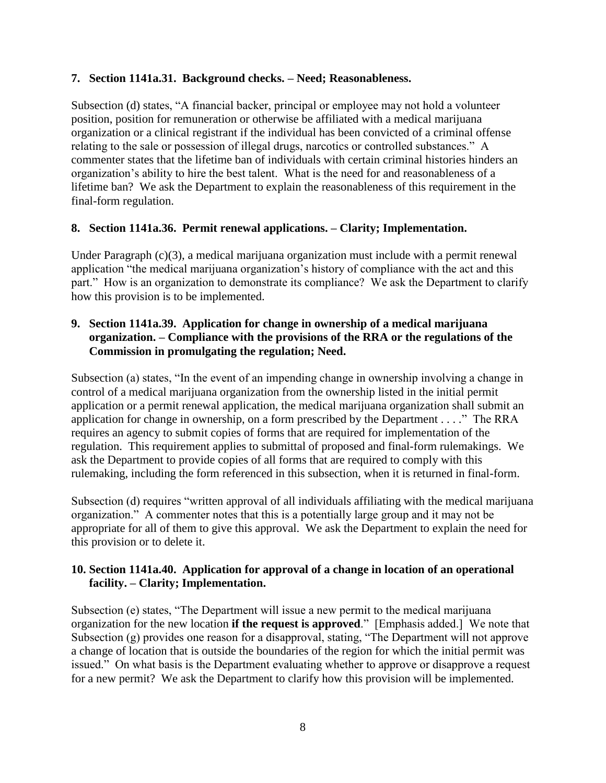### **7. Section 1141a.31. Background checks. – Need; Reasonableness.**

Subsection (d) states, "A financial backer, principal or employee may not hold a volunteer position, position for remuneration or otherwise be affiliated with a medical marijuana organization or a clinical registrant if the individual has been convicted of a criminal offense relating to the sale or possession of illegal drugs, narcotics or controlled substances." A commenter states that the lifetime ban of individuals with certain criminal histories hinders an organization's ability to hire the best talent. What is the need for and reasonableness of a lifetime ban? We ask the Department to explain the reasonableness of this requirement in the final-form regulation.

## **8. Section 1141a.36. Permit renewal applications. – Clarity; Implementation.**

Under Paragraph (c)(3), a medical marijuana organization must include with a permit renewal application "the medical marijuana organization's history of compliance with the act and this part." How is an organization to demonstrate its compliance? We ask the Department to clarify how this provision is to be implemented.

### **9. Section 1141a.39. Application for change in ownership of a medical marijuana organization. – Compliance with the provisions of the RRA or the regulations of the Commission in promulgating the regulation; Need.**

Subsection (a) states, "In the event of an impending change in ownership involving a change in control of a medical marijuana organization from the ownership listed in the initial permit application or a permit renewal application, the medical marijuana organization shall submit an application for change in ownership, on a form prescribed by the Department . . . ." The RRA requires an agency to submit copies of forms that are required for implementation of the regulation. This requirement applies to submittal of proposed and final-form rulemakings. We ask the Department to provide copies of all forms that are required to comply with this rulemaking, including the form referenced in this subsection, when it is returned in final-form.

Subsection (d) requires "written approval of all individuals affiliating with the medical marijuana organization." A commenter notes that this is a potentially large group and it may not be appropriate for all of them to give this approval. We ask the Department to explain the need for this provision or to delete it.

#### **10. Section 1141a.40. Application for approval of a change in location of an operational facility. – Clarity; Implementation.**

Subsection (e) states, "The Department will issue a new permit to the medical marijuana organization for the new location **if the request is approved**." [Emphasis added.] We note that Subsection (g) provides one reason for a disapproval, stating, "The Department will not approve a change of location that is outside the boundaries of the region for which the initial permit was issued." On what basis is the Department evaluating whether to approve or disapprove a request for a new permit? We ask the Department to clarify how this provision will be implemented.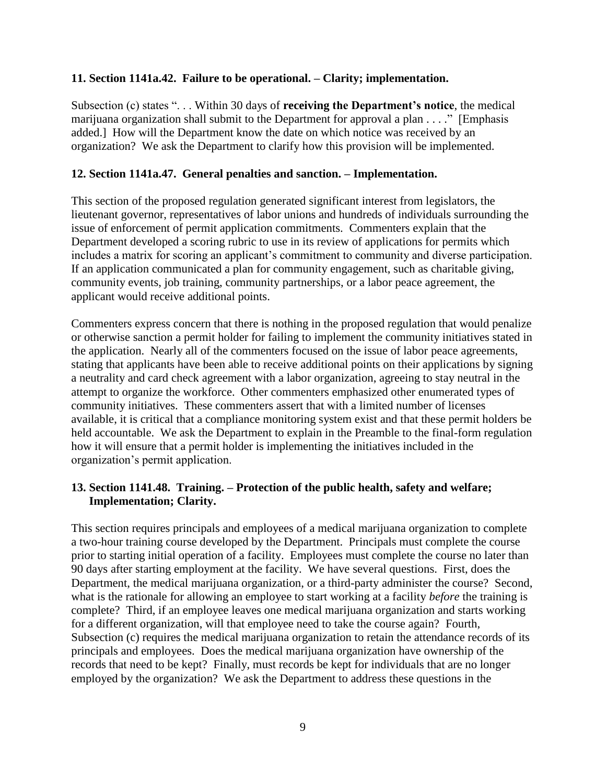#### **11. Section 1141a.42. Failure to be operational. – Clarity; implementation.**

Subsection (c) states ". . . Within 30 days of **receiving the Department's notice**, the medical marijuana organization shall submit to the Department for approval a plan . . . ." [Emphasis added.] How will the Department know the date on which notice was received by an organization? We ask the Department to clarify how this provision will be implemented.

#### **12. Section 1141a.47. General penalties and sanction. – Implementation.**

This section of the proposed regulation generated significant interest from legislators, the lieutenant governor, representatives of labor unions and hundreds of individuals surrounding the issue of enforcement of permit application commitments. Commenters explain that the Department developed a scoring rubric to use in its review of applications for permits which includes a matrix for scoring an applicant's commitment to community and diverse participation. If an application communicated a plan for community engagement, such as charitable giving, community events, job training, community partnerships, or a labor peace agreement, the applicant would receive additional points.

Commenters express concern that there is nothing in the proposed regulation that would penalize or otherwise sanction a permit holder for failing to implement the community initiatives stated in the application. Nearly all of the commenters focused on the issue of labor peace agreements, stating that applicants have been able to receive additional points on their applications by signing a neutrality and card check agreement with a labor organization, agreeing to stay neutral in the attempt to organize the workforce. Other commenters emphasized other enumerated types of community initiatives. These commenters assert that with a limited number of licenses available, it is critical that a compliance monitoring system exist and that these permit holders be held accountable. We ask the Department to explain in the Preamble to the final-form regulation how it will ensure that a permit holder is implementing the initiatives included in the organization's permit application.

#### **13. Section 1141.48. Training. – Protection of the public health, safety and welfare; Implementation; Clarity.**

This section requires principals and employees of a medical marijuana organization to complete a two-hour training course developed by the Department. Principals must complete the course prior to starting initial operation of a facility. Employees must complete the course no later than 90 days after starting employment at the facility. We have several questions. First, does the Department, the medical marijuana organization, or a third-party administer the course? Second, what is the rationale for allowing an employee to start working at a facility *before* the training is complete? Third, if an employee leaves one medical marijuana organization and starts working for a different organization, will that employee need to take the course again? Fourth, Subsection (c) requires the medical marijuana organization to retain the attendance records of its principals and employees. Does the medical marijuana organization have ownership of the records that need to be kept? Finally, must records be kept for individuals that are no longer employed by the organization? We ask the Department to address these questions in the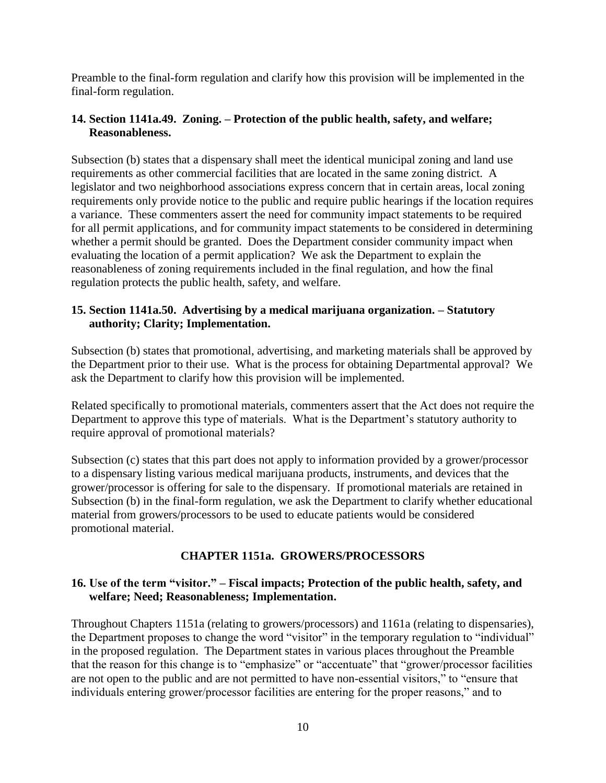Preamble to the final-form regulation and clarify how this provision will be implemented in the final-form regulation.

### **14. Section 1141a.49. Zoning. – Protection of the public health, safety, and welfare; Reasonableness.**

Subsection (b) states that a dispensary shall meet the identical municipal zoning and land use requirements as other commercial facilities that are located in the same zoning district. A legislator and two neighborhood associations express concern that in certain areas, local zoning requirements only provide notice to the public and require public hearings if the location requires a variance. These commenters assert the need for community impact statements to be required for all permit applications, and for community impact statements to be considered in determining whether a permit should be granted. Does the Department consider community impact when evaluating the location of a permit application? We ask the Department to explain the reasonableness of zoning requirements included in the final regulation, and how the final regulation protects the public health, safety, and welfare.

#### **15. Section 1141a.50. Advertising by a medical marijuana organization. – Statutory authority; Clarity; Implementation.**

Subsection (b) states that promotional, advertising, and marketing materials shall be approved by the Department prior to their use. What is the process for obtaining Departmental approval? We ask the Department to clarify how this provision will be implemented.

Related specifically to promotional materials, commenters assert that the Act does not require the Department to approve this type of materials. What is the Department's statutory authority to require approval of promotional materials?

Subsection (c) states that this part does not apply to information provided by a grower/processor to a dispensary listing various medical marijuana products, instruments, and devices that the grower/processor is offering for sale to the dispensary. If promotional materials are retained in Subsection (b) in the final-form regulation, we ask the Department to clarify whether educational material from growers/processors to be used to educate patients would be considered promotional material.

## **CHAPTER 1151a. GROWERS/PROCESSORS**

#### **16. Use of the term "visitor." – Fiscal impacts; Protection of the public health, safety, and welfare; Need; Reasonableness; Implementation.**

Throughout Chapters 1151a (relating to growers/processors) and 1161a (relating to dispensaries), the Department proposes to change the word "visitor" in the temporary regulation to "individual" in the proposed regulation. The Department states in various places throughout the Preamble that the reason for this change is to "emphasize" or "accentuate" that "grower/processor facilities are not open to the public and are not permitted to have non-essential visitors," to "ensure that individuals entering grower/processor facilities are entering for the proper reasons," and to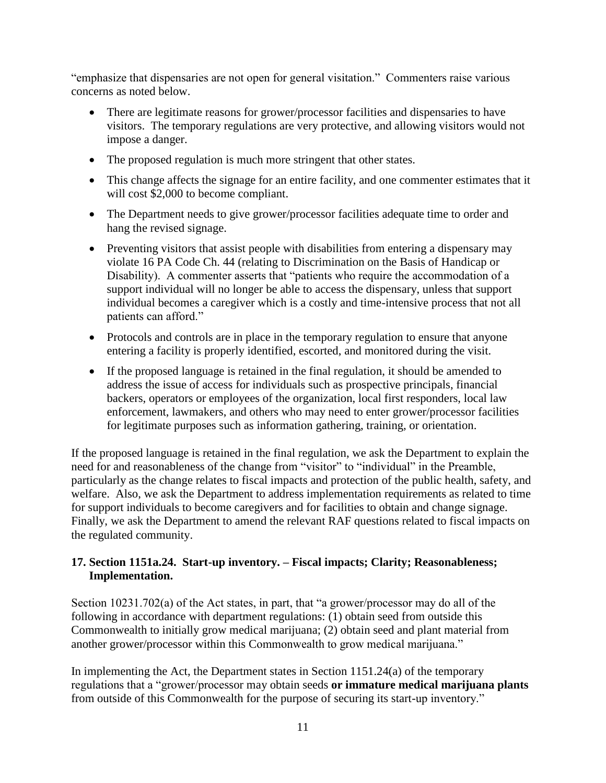"emphasize that dispensaries are not open for general visitation." Commenters raise various concerns as noted below.

- There are legitimate reasons for grower/processor facilities and dispensaries to have visitors. The temporary regulations are very protective, and allowing visitors would not impose a danger.
- The proposed regulation is much more stringent that other states.
- This change affects the signage for an entire facility, and one commenter estimates that it will cost \$2,000 to become compliant.
- The Department needs to give grower/processor facilities adequate time to order and hang the revised signage.
- Preventing visitors that assist people with disabilities from entering a dispensary may violate 16 PA Code Ch. 44 (relating to Discrimination on the Basis of Handicap or Disability). A commenter asserts that "patients who require the accommodation of a support individual will no longer be able to access the dispensary, unless that support individual becomes a caregiver which is a costly and time-intensive process that not all patients can afford."
- Protocols and controls are in place in the temporary regulation to ensure that anyone entering a facility is properly identified, escorted, and monitored during the visit.
- If the proposed language is retained in the final regulation, it should be amended to address the issue of access for individuals such as prospective principals, financial backers, operators or employees of the organization, local first responders, local law enforcement, lawmakers, and others who may need to enter grower/processor facilities for legitimate purposes such as information gathering, training, or orientation.

If the proposed language is retained in the final regulation, we ask the Department to explain the need for and reasonableness of the change from "visitor" to "individual" in the Preamble, particularly as the change relates to fiscal impacts and protection of the public health, safety, and welfare. Also, we ask the Department to address implementation requirements as related to time for support individuals to become caregivers and for facilities to obtain and change signage. Finally, we ask the Department to amend the relevant RAF questions related to fiscal impacts on the regulated community.

## **17. Section 1151a.24. Start-up inventory. – Fiscal impacts; Clarity; Reasonableness; Implementation.**

Section 10231.702(a) of the Act states, in part, that "a grower/processor may do all of the following in accordance with department regulations: (1) obtain seed from outside this Commonwealth to initially grow medical marijuana; (2) obtain seed and plant material from another grower/processor within this Commonwealth to grow medical marijuana."

In implementing the Act, the Department states in Section 1151.24(a) of the temporary regulations that a "grower/processor may obtain seeds **or immature medical marijuana plants** from outside of this Commonwealth for the purpose of securing its start-up inventory."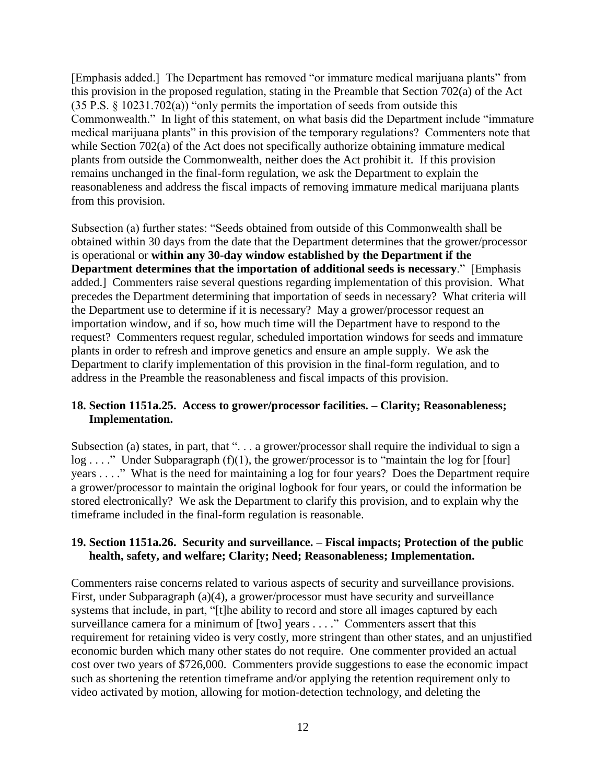[Emphasis added.] The Department has removed "or immature medical marijuana plants" from this provision in the proposed regulation, stating in the Preamble that Section 702(a) of the Act (35 P.S. § 10231.702(a)) "only permits the importation of seeds from outside this Commonwealth." In light of this statement, on what basis did the Department include "immature medical marijuana plants" in this provision of the temporary regulations? Commenters note that while Section 702(a) of the Act does not specifically authorize obtaining immature medical plants from outside the Commonwealth, neither does the Act prohibit it. If this provision remains unchanged in the final-form regulation, we ask the Department to explain the reasonableness and address the fiscal impacts of removing immature medical marijuana plants from this provision.

Subsection (a) further states: "Seeds obtained from outside of this Commonwealth shall be obtained within 30 days from the date that the Department determines that the grower/processor is operational or **within any 30-day window established by the Department if the Department determines that the importation of additional seeds is necessary**." [Emphasis added.] Commenters raise several questions regarding implementation of this provision. What precedes the Department determining that importation of seeds in necessary? What criteria will the Department use to determine if it is necessary? May a grower/processor request an importation window, and if so, how much time will the Department have to respond to the request? Commenters request regular, scheduled importation windows for seeds and immature plants in order to refresh and improve genetics and ensure an ample supply. We ask the Department to clarify implementation of this provision in the final-form regulation, and to address in the Preamble the reasonableness and fiscal impacts of this provision.

#### **18. Section 1151a.25. Access to grower/processor facilities. – Clarity; Reasonableness; Implementation.**

Subsection (a) states, in part, that ". . . a grower/processor shall require the individual to sign a log . . . ." Under Subparagraph (f)(1), the grower/processor is to "maintain the log for [four] years . . . ." What is the need for maintaining a log for four years? Does the Department require a grower/processor to maintain the original logbook for four years, or could the information be stored electronically? We ask the Department to clarify this provision, and to explain why the timeframe included in the final-form regulation is reasonable.

## **19. Section 1151a.26. Security and surveillance. – Fiscal impacts; Protection of the public health, safety, and welfare; Clarity; Need; Reasonableness; Implementation.**

Commenters raise concerns related to various aspects of security and surveillance provisions. First, under Subparagraph (a)(4), a grower/processor must have security and surveillance systems that include, in part, "[t]he ability to record and store all images captured by each surveillance camera for a minimum of [two] years . . . ." Commenters assert that this requirement for retaining video is very costly, more stringent than other states, and an unjustified economic burden which many other states do not require. One commenter provided an actual cost over two years of \$726,000. Commenters provide suggestions to ease the economic impact such as shortening the retention timeframe and/or applying the retention requirement only to video activated by motion, allowing for motion-detection technology, and deleting the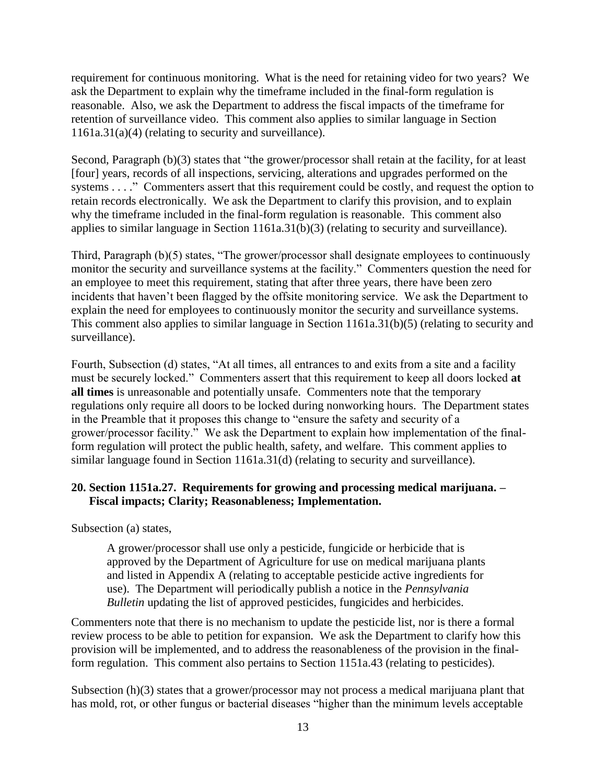requirement for continuous monitoring. What is the need for retaining video for two years? We ask the Department to explain why the timeframe included in the final-form regulation is reasonable. Also, we ask the Department to address the fiscal impacts of the timeframe for retention of surveillance video. This comment also applies to similar language in Section 1161a.31(a)(4) (relating to security and surveillance).

Second, Paragraph (b)(3) states that "the grower/processor shall retain at the facility, for at least [four] years, records of all inspections, servicing, alterations and upgrades performed on the systems . . . ." Commenters assert that this requirement could be costly, and request the option to retain records electronically. We ask the Department to clarify this provision, and to explain why the timeframe included in the final-form regulation is reasonable. This comment also applies to similar language in Section 1161a.31(b)(3) (relating to security and surveillance).

Third, Paragraph (b)(5) states, "The grower/processor shall designate employees to continuously monitor the security and surveillance systems at the facility." Commenters question the need for an employee to meet this requirement, stating that after three years, there have been zero incidents that haven't been flagged by the offsite monitoring service. We ask the Department to explain the need for employees to continuously monitor the security and surveillance systems. This comment also applies to similar language in Section 1161a.31(b)(5) (relating to security and surveillance).

Fourth, Subsection (d) states, "At all times, all entrances to and exits from a site and a facility must be securely locked." Commenters assert that this requirement to keep all doors locked **at all times** is unreasonable and potentially unsafe. Commenters note that the temporary regulations only require all doors to be locked during nonworking hours. The Department states in the Preamble that it proposes this change to "ensure the safety and security of a grower/processor facility." We ask the Department to explain how implementation of the finalform regulation will protect the public health, safety, and welfare. This comment applies to similar language found in Section 1161a.31(d) (relating to security and surveillance).

#### **20. Section 1151a.27. Requirements for growing and processing medical marijuana. – Fiscal impacts; Clarity; Reasonableness; Implementation.**

Subsection (a) states,

A grower/processor shall use only a pesticide, fungicide or herbicide that is approved by the Department of Agriculture for use on medical marijuana plants and listed in Appendix A (relating to acceptable pesticide active ingredients for use). The Department will periodically publish a notice in the *Pennsylvania Bulletin* updating the list of approved pesticides, fungicides and herbicides.

Commenters note that there is no mechanism to update the pesticide list, nor is there a formal review process to be able to petition for expansion. We ask the Department to clarify how this provision will be implemented, and to address the reasonableness of the provision in the finalform regulation. This comment also pertains to Section 1151a.43 (relating to pesticides).

Subsection (h)(3) states that a grower/processor may not process a medical marijuana plant that has mold, rot, or other fungus or bacterial diseases "higher than the minimum levels acceptable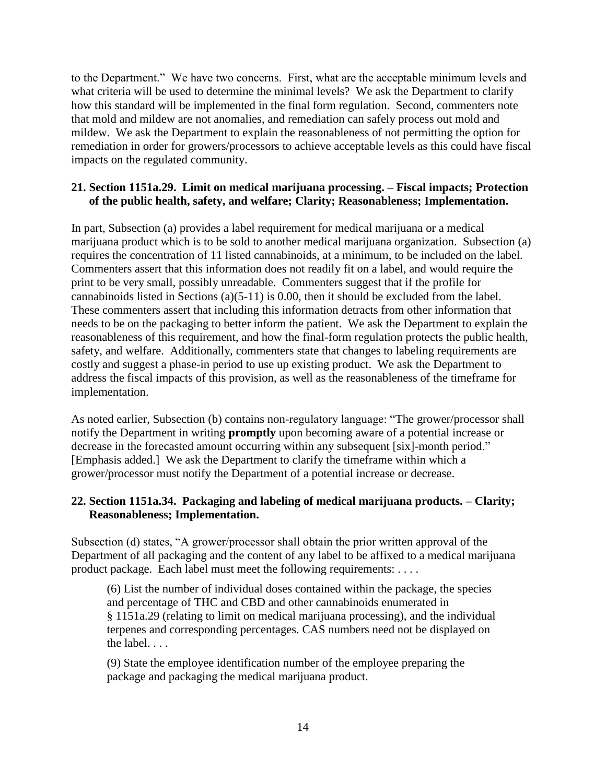to the Department." We have two concerns. First, what are the acceptable minimum levels and what criteria will be used to determine the minimal levels? We ask the Department to clarify how this standard will be implemented in the final form regulation. Second, commenters note that mold and mildew are not anomalies, and remediation can safely process out mold and mildew. We ask the Department to explain the reasonableness of not permitting the option for remediation in order for growers/processors to achieve acceptable levels as this could have fiscal impacts on the regulated community.

#### **21. Section 1151a.29. Limit on medical marijuana processing. – Fiscal impacts; Protection of the public health, safety, and welfare; Clarity; Reasonableness; Implementation.**

In part, Subsection (a) provides a label requirement for medical marijuana or a medical marijuana product which is to be sold to another medical marijuana organization. Subsection (a) requires the concentration of 11 listed cannabinoids, at a minimum, to be included on the label. Commenters assert that this information does not readily fit on a label, and would require the print to be very small, possibly unreadable. Commenters suggest that if the profile for cannabinoids listed in Sections (a)(5-11) is 0.00, then it should be excluded from the label. These commenters assert that including this information detracts from other information that needs to be on the packaging to better inform the patient. We ask the Department to explain the reasonableness of this requirement, and how the final-form regulation protects the public health, safety, and welfare. Additionally, commenters state that changes to labeling requirements are costly and suggest a phase-in period to use up existing product. We ask the Department to address the fiscal impacts of this provision, as well as the reasonableness of the timeframe for implementation.

As noted earlier, Subsection (b) contains non-regulatory language: "The grower/processor shall notify the Department in writing **promptly** upon becoming aware of a potential increase or decrease in the forecasted amount occurring within any subsequent [six]-month period." [Emphasis added.] We ask the Department to clarify the timeframe within which a grower/processor must notify the Department of a potential increase or decrease.

## **22. Section 1151a.34. Packaging and labeling of medical marijuana products. – Clarity; Reasonableness; Implementation.**

Subsection (d) states, "A grower/processor shall obtain the prior written approval of the Department of all packaging and the content of any label to be affixed to a medical marijuana product package. Each label must meet the following requirements: . . . .

(6) List the number of individual doses contained within the package, the species and percentage of THC and CBD and other cannabinoids enumerated in § 1151a.29 (relating to limit on medical marijuana processing), and the individual terpenes and corresponding percentages. CAS numbers need not be displayed on the label.  $\ldots$ 

(9) State the employee identification number of the employee preparing the package and packaging the medical marijuana product.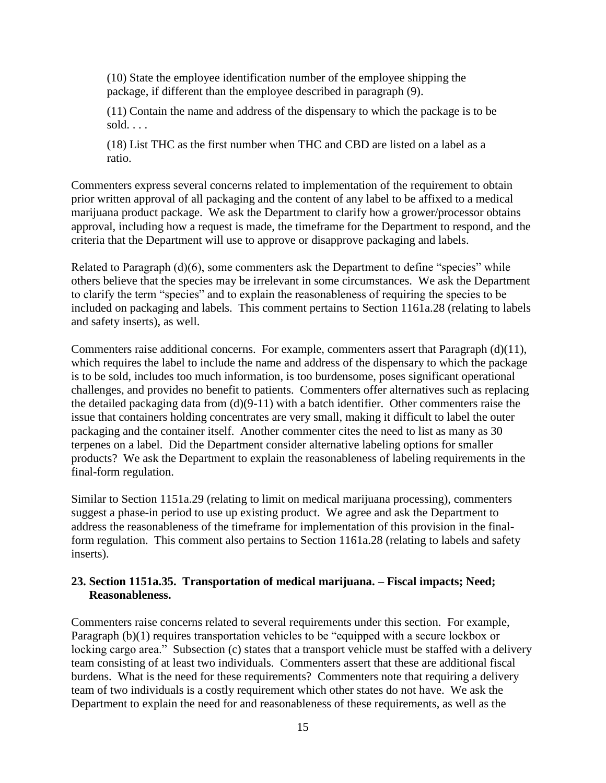(10) State the employee identification number of the employee shipping the package, if different than the employee described in paragraph (9).

(11) Contain the name and address of the dispensary to which the package is to be sold. . . .

(18) List THC as the first number when THC and CBD are listed on a label as a ratio.

Commenters express several concerns related to implementation of the requirement to obtain prior written approval of all packaging and the content of any label to be affixed to a medical marijuana product package. We ask the Department to clarify how a grower/processor obtains approval, including how a request is made, the timeframe for the Department to respond, and the criteria that the Department will use to approve or disapprove packaging and labels.

Related to Paragraph (d)(6), some commenters ask the Department to define "species" while others believe that the species may be irrelevant in some circumstances. We ask the Department to clarify the term "species" and to explain the reasonableness of requiring the species to be included on packaging and labels. This comment pertains to Section 1161a.28 (relating to labels and safety inserts), as well.

Commenters raise additional concerns. For example, commenters assert that Paragraph (d)(11), which requires the label to include the name and address of the dispensary to which the package is to be sold, includes too much information, is too burdensome, poses significant operational challenges, and provides no benefit to patients. Commenters offer alternatives such as replacing the detailed packaging data from (d)(9-11) with a batch identifier. Other commenters raise the issue that containers holding concentrates are very small, making it difficult to label the outer packaging and the container itself. Another commenter cites the need to list as many as 30 terpenes on a label. Did the Department consider alternative labeling options for smaller products? We ask the Department to explain the reasonableness of labeling requirements in the final-form regulation.

Similar to Section 1151a.29 (relating to limit on medical marijuana processing), commenters suggest a phase-in period to use up existing product. We agree and ask the Department to address the reasonableness of the timeframe for implementation of this provision in the finalform regulation. This comment also pertains to Section 1161a.28 (relating to labels and safety inserts).

#### **23. Section 1151a.35. Transportation of medical marijuana. – Fiscal impacts; Need; Reasonableness.**

Commenters raise concerns related to several requirements under this section. For example, Paragraph (b)(1) requires transportation vehicles to be "equipped with a secure lockbox or locking cargo area." Subsection (c) states that a transport vehicle must be staffed with a delivery team consisting of at least two individuals. Commenters assert that these are additional fiscal burdens. What is the need for these requirements? Commenters note that requiring a delivery team of two individuals is a costly requirement which other states do not have. We ask the Department to explain the need for and reasonableness of these requirements, as well as the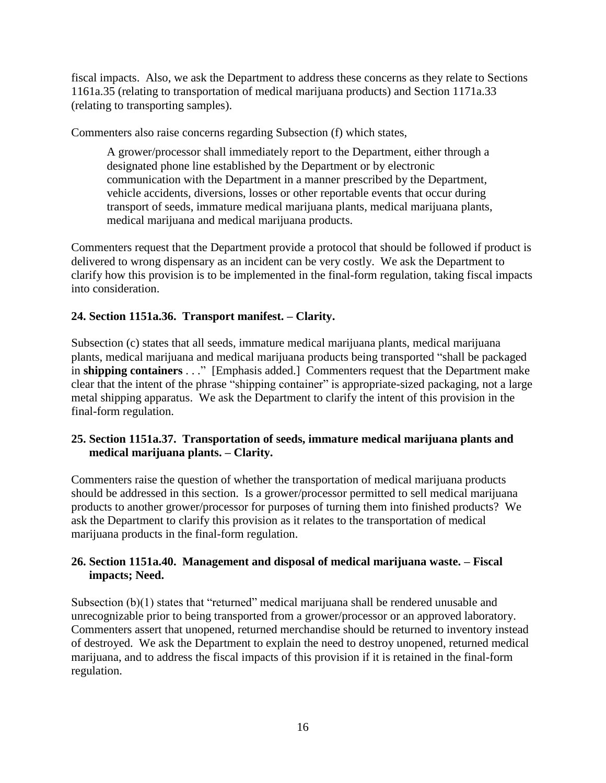fiscal impacts. Also, we ask the Department to address these concerns as they relate to Sections 1161a.35 (relating to transportation of medical marijuana products) and Section 1171a.33 (relating to transporting samples).

Commenters also raise concerns regarding Subsection (f) which states,

A grower/processor shall immediately report to the Department, either through a designated phone line established by the Department or by electronic communication with the Department in a manner prescribed by the Department, vehicle accidents, diversions, losses or other reportable events that occur during transport of seeds, immature medical marijuana plants, medical marijuana plants, medical marijuana and medical marijuana products.

Commenters request that the Department provide a protocol that should be followed if product is delivered to wrong dispensary as an incident can be very costly. We ask the Department to clarify how this provision is to be implemented in the final-form regulation, taking fiscal impacts into consideration.

## **24. Section 1151a.36. Transport manifest. – Clarity.**

Subsection (c) states that all seeds, immature medical marijuana plants, medical marijuana plants, medical marijuana and medical marijuana products being transported "shall be packaged in **shipping containers** . . ." [Emphasis added.] Commenters request that the Department make clear that the intent of the phrase "shipping container" is appropriate-sized packaging, not a large metal shipping apparatus. We ask the Department to clarify the intent of this provision in the final-form regulation.

## **25. Section 1151a.37. Transportation of seeds, immature medical marijuana plants and medical marijuana plants. – Clarity.**

Commenters raise the question of whether the transportation of medical marijuana products should be addressed in this section. Is a grower/processor permitted to sell medical marijuana products to another grower/processor for purposes of turning them into finished products? We ask the Department to clarify this provision as it relates to the transportation of medical marijuana products in the final-form regulation.

## **26. Section 1151a.40. Management and disposal of medical marijuana waste. – Fiscal impacts; Need.**

Subsection (b)(1) states that "returned" medical marijuana shall be rendered unusable and unrecognizable prior to being transported from a grower/processor or an approved laboratory. Commenters assert that unopened, returned merchandise should be returned to inventory instead of destroyed. We ask the Department to explain the need to destroy unopened, returned medical marijuana, and to address the fiscal impacts of this provision if it is retained in the final-form regulation.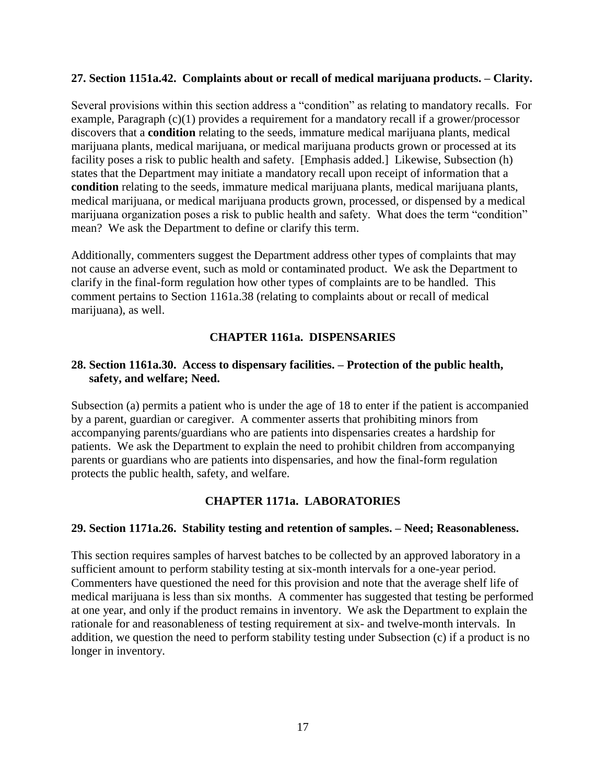#### **27. Section 1151a.42. Complaints about or recall of medical marijuana products. – Clarity.**

Several provisions within this section address a "condition" as relating to mandatory recalls. For example, Paragraph (c)(1) provides a requirement for a mandatory recall if a grower/processor discovers that a **condition** relating to the seeds, immature medical marijuana plants, medical marijuana plants, medical marijuana, or medical marijuana products grown or processed at its facility poses a risk to public health and safety. [Emphasis added.] Likewise, Subsection (h) states that the Department may initiate a mandatory recall upon receipt of information that a **condition** relating to the seeds, immature medical marijuana plants, medical marijuana plants, medical marijuana, or medical marijuana products grown, processed, or dispensed by a medical marijuana organization poses a risk to public health and safety. What does the term "condition" mean? We ask the Department to define or clarify this term.

Additionally, commenters suggest the Department address other types of complaints that may not cause an adverse event, such as mold or contaminated product. We ask the Department to clarify in the final-form regulation how other types of complaints are to be handled. This comment pertains to Section 1161a.38 (relating to complaints about or recall of medical marijuana), as well.

#### **CHAPTER 1161a. DISPENSARIES**

#### **28. Section 1161a.30. Access to dispensary facilities. – Protection of the public health, safety, and welfare; Need.**

Subsection (a) permits a patient who is under the age of 18 to enter if the patient is accompanied by a parent, guardian or caregiver. A commenter asserts that prohibiting minors from accompanying parents/guardians who are patients into dispensaries creates a hardship for patients. We ask the Department to explain the need to prohibit children from accompanying parents or guardians who are patients into dispensaries, and how the final-form regulation protects the public health, safety, and welfare.

#### **CHAPTER 1171a. LABORATORIES**

#### **29. Section 1171a.26. Stability testing and retention of samples. – Need; Reasonableness.**

This section requires samples of harvest batches to be collected by an approved laboratory in a sufficient amount to perform stability testing at six-month intervals for a one-year period. Commenters have questioned the need for this provision and note that the average shelf life of medical marijuana is less than six months. A commenter has suggested that testing be performed at one year, and only if the product remains in inventory. We ask the Department to explain the rationale for and reasonableness of testing requirement at six- and twelve-month intervals. In addition, we question the need to perform stability testing under Subsection (c) if a product is no longer in inventory.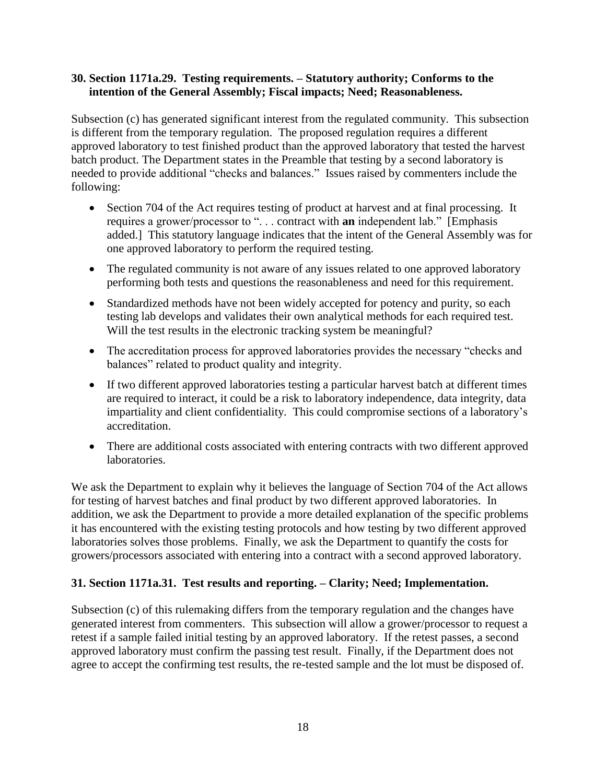#### **30. Section 1171a.29. Testing requirements. – Statutory authority; Conforms to the intention of the General Assembly; Fiscal impacts; Need; Reasonableness.**

Subsection (c) has generated significant interest from the regulated community. This subsection is different from the temporary regulation. The proposed regulation requires a different approved laboratory to test finished product than the approved laboratory that tested the harvest batch product. The Department states in the Preamble that testing by a second laboratory is needed to provide additional "checks and balances." Issues raised by commenters include the following:

- Section 704 of the Act requires testing of product at harvest and at final processing. It requires a grower/processor to ". . . contract with **an** independent lab." [Emphasis added.] This statutory language indicates that the intent of the General Assembly was for one approved laboratory to perform the required testing.
- The regulated community is not aware of any issues related to one approved laboratory performing both tests and questions the reasonableness and need for this requirement.
- Standardized methods have not been widely accepted for potency and purity, so each testing lab develops and validates their own analytical methods for each required test. Will the test results in the electronic tracking system be meaningful?
- The accreditation process for approved laboratories provides the necessary "checks and balances" related to product quality and integrity.
- If two different approved laboratories testing a particular harvest batch at different times are required to interact, it could be a risk to laboratory independence, data integrity, data impartiality and client confidentiality. This could compromise sections of a laboratory's accreditation.
- There are additional costs associated with entering contracts with two different approved laboratories.

We ask the Department to explain why it believes the language of Section 704 of the Act allows for testing of harvest batches and final product by two different approved laboratories. In addition, we ask the Department to provide a more detailed explanation of the specific problems it has encountered with the existing testing protocols and how testing by two different approved laboratories solves those problems. Finally, we ask the Department to quantify the costs for growers/processors associated with entering into a contract with a second approved laboratory.

## **31. Section 1171a.31. Test results and reporting. – Clarity; Need; Implementation.**

Subsection (c) of this rulemaking differs from the temporary regulation and the changes have generated interest from commenters. This subsection will allow a grower/processor to request a retest if a sample failed initial testing by an approved laboratory. If the retest passes, a second approved laboratory must confirm the passing test result. Finally, if the Department does not agree to accept the confirming test results, the re-tested sample and the lot must be disposed of.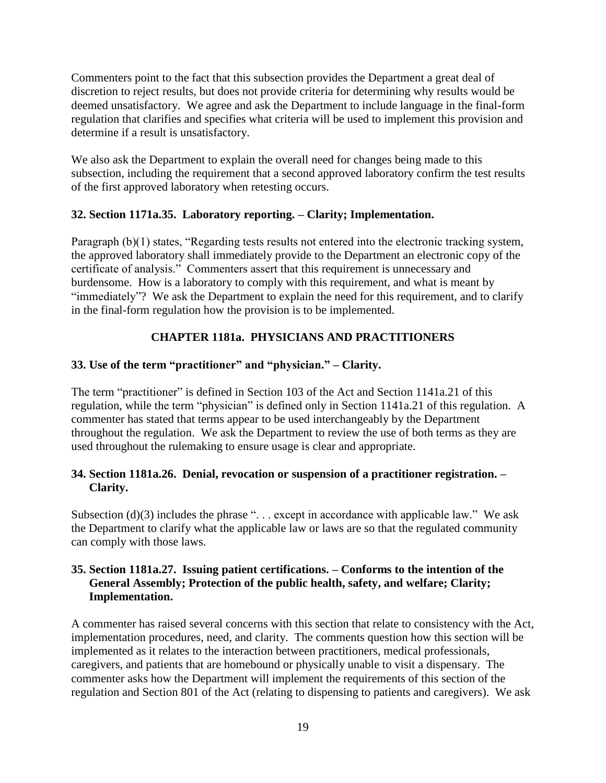Commenters point to the fact that this subsection provides the Department a great deal of discretion to reject results, but does not provide criteria for determining why results would be deemed unsatisfactory. We agree and ask the Department to include language in the final-form regulation that clarifies and specifies what criteria will be used to implement this provision and determine if a result is unsatisfactory.

We also ask the Department to explain the overall need for changes being made to this subsection, including the requirement that a second approved laboratory confirm the test results of the first approved laboratory when retesting occurs.

## **32. Section 1171a.35. Laboratory reporting. – Clarity; Implementation.**

Paragraph (b)(1) states, "Regarding tests results not entered into the electronic tracking system, the approved laboratory shall immediately provide to the Department an electronic copy of the certificate of analysis." Commenters assert that this requirement is unnecessary and burdensome. How is a laboratory to comply with this requirement, and what is meant by "immediately"? We ask the Department to explain the need for this requirement, and to clarify in the final-form regulation how the provision is to be implemented.

## **CHAPTER 1181a. PHYSICIANS AND PRACTITIONERS**

## **33. Use of the term "practitioner" and "physician." – Clarity.**

The term "practitioner" is defined in Section 103 of the Act and Section 1141a.21 of this regulation, while the term "physician" is defined only in Section 1141a.21 of this regulation. A commenter has stated that terms appear to be used interchangeably by the Department throughout the regulation. We ask the Department to review the use of both terms as they are used throughout the rulemaking to ensure usage is clear and appropriate.

## **34. Section 1181a.26. Denial, revocation or suspension of a practitioner registration. – Clarity.**

Subsection (d)(3) includes the phrase "... except in accordance with applicable law." We ask the Department to clarify what the applicable law or laws are so that the regulated community can comply with those laws.

### **35. Section 1181a.27. Issuing patient certifications. – Conforms to the intention of the General Assembly; Protection of the public health, safety, and welfare; Clarity; Implementation.**

A commenter has raised several concerns with this section that relate to consistency with the Act, implementation procedures, need, and clarity. The comments question how this section will be implemented as it relates to the interaction between practitioners, medical professionals, caregivers, and patients that are homebound or physically unable to visit a dispensary. The commenter asks how the Department will implement the requirements of this section of the regulation and Section 801 of the Act (relating to dispensing to patients and caregivers). We ask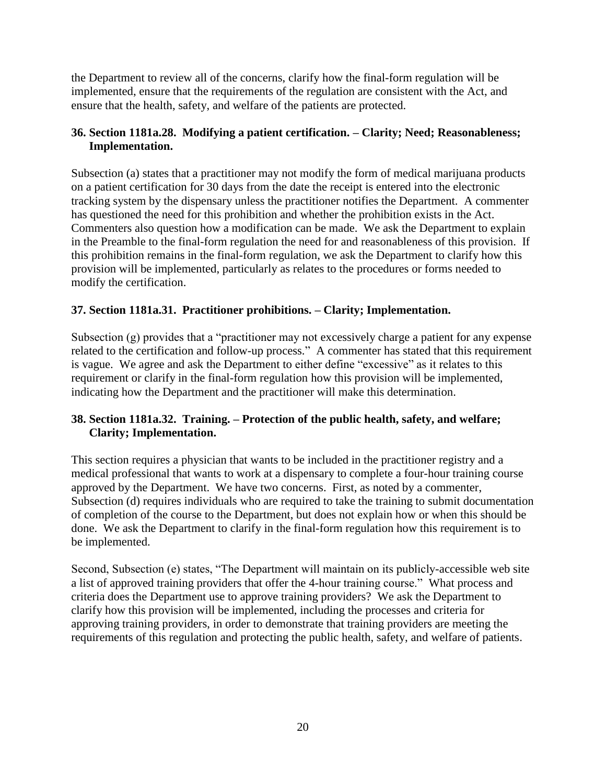the Department to review all of the concerns, clarify how the final-form regulation will be implemented, ensure that the requirements of the regulation are consistent with the Act, and ensure that the health, safety, and welfare of the patients are protected.

## **36. Section 1181a.28. Modifying a patient certification. – Clarity; Need; Reasonableness; Implementation.**

Subsection (a) states that a practitioner may not modify the form of medical marijuana products on a patient certification for 30 days from the date the receipt is entered into the electronic tracking system by the dispensary unless the practitioner notifies the Department. A commenter has questioned the need for this prohibition and whether the prohibition exists in the Act. Commenters also question how a modification can be made. We ask the Department to explain in the Preamble to the final-form regulation the need for and reasonableness of this provision. If this prohibition remains in the final-form regulation, we ask the Department to clarify how this provision will be implemented, particularly as relates to the procedures or forms needed to modify the certification.

## **37. Section 1181a.31. Practitioner prohibitions. – Clarity; Implementation.**

Subsection (g) provides that a "practitioner may not excessively charge a patient for any expense related to the certification and follow-up process." A commenter has stated that this requirement is vague. We agree and ask the Department to either define "excessive" as it relates to this requirement or clarify in the final-form regulation how this provision will be implemented, indicating how the Department and the practitioner will make this determination.

## **38. Section 1181a.32. Training. – Protection of the public health, safety, and welfare; Clarity; Implementation.**

This section requires a physician that wants to be included in the practitioner registry and a medical professional that wants to work at a dispensary to complete a four-hour training course approved by the Department. We have two concerns. First, as noted by a commenter, Subsection (d) requires individuals who are required to take the training to submit documentation of completion of the course to the Department, but does not explain how or when this should be done. We ask the Department to clarify in the final-form regulation how this requirement is to be implemented.

Second, Subsection (e) states, "The Department will maintain on its publicly-accessible web site a list of approved training providers that offer the 4-hour training course." What process and criteria does the Department use to approve training providers? We ask the Department to clarify how this provision will be implemented, including the processes and criteria for approving training providers, in order to demonstrate that training providers are meeting the requirements of this regulation and protecting the public health, safety, and welfare of patients.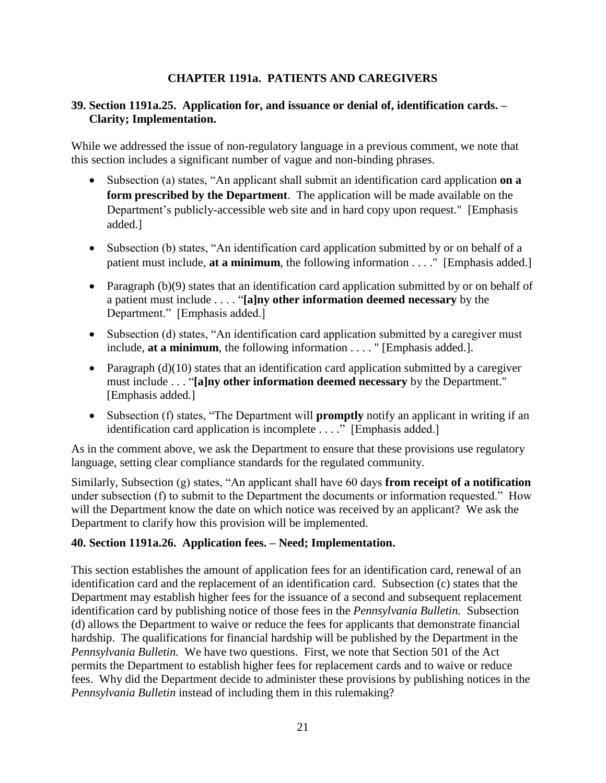## **CHAPTER 1191a. PATIENTS AND CAREGIVERS**

### **39. Section 1191a.25. Application for, and issuance or denial of, identification cards. – Clarity; Implementation.**

While we addressed the issue of non-regulatory language in a previous comment, we note that this section includes a significant number of vague and non-binding phrases.

- Subsection (a) states, "An applicant shall submit an identification card application **on a form prescribed by the Department**. The application will be made available on the Department's publicly-accessible web site and in hard copy upon request." [Emphasis added.]
- Subsection (b) states, "An identification card application submitted by or on behalf of a patient must include, **at a minimum**, the following information . . . ." [Emphasis added.]
- Paragraph (b)(9) states that an identification card application submitted by or on behalf of a patient must include . . . . "**[a]ny other information deemed necessary** by the Department." [Emphasis added.]
- Subsection (d) states, "An identification card application submitted by a caregiver must include, **at a minimum**, the following information . . . . " [Emphasis added.].
- Paragraph  $(d)(10)$  states that an identification card application submitted by a caregiver must include . . . "**[a]ny other information deemed necessary** by the Department." [Emphasis added.]
- Subsection (f) states, "The Department will **promptly** notify an applicant in writing if an identification card application is incomplete . . . ." [Emphasis added.]

As in the comment above, we ask the Department to ensure that these provisions use regulatory language, setting clear compliance standards for the regulated community.

Similarly, Subsection (g) states, "An applicant shall have 60 days **from receipt of a notification** under subsection (f) to submit to the Department the documents or information requested." How will the Department know the date on which notice was received by an applicant? We ask the Department to clarify how this provision will be implemented.

## **40. Section 1191a.26. Application fees. – Need; Implementation.**

This section establishes the amount of application fees for an identification card, renewal of an identification card and the replacement of an identification card. Subsection (c) states that the Department may establish higher fees for the issuance of a second and subsequent replacement identification card by publishing notice of those fees in the *Pennsylvania Bulletin.* Subsection (d) allows the Department to waive or reduce the fees for applicants that demonstrate financial hardship. The qualifications for financial hardship will be published by the Department in the *Pennsylvania Bulletin.* We have two questions. First, we note that Section 501 of the Act permits the Department to establish higher fees for replacement cards and to waive or reduce fees. Why did the Department decide to administer these provisions by publishing notices in the *Pennsylvania Bulletin* instead of including them in this rulemaking?